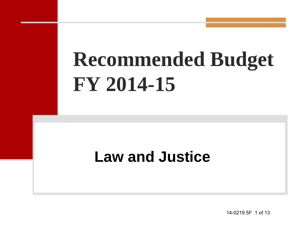# **Recommended Budget FY 2014-15**

#### **Law and Justice**

14-0219 5F 1 of 13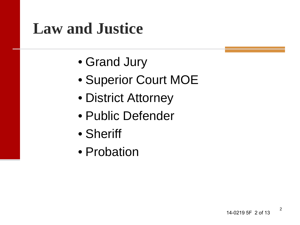#### **Law and Justice**

- Grand Jury
- Superior Court MOE
- District Attorney
- Public Defender
- Sheriff
- Probation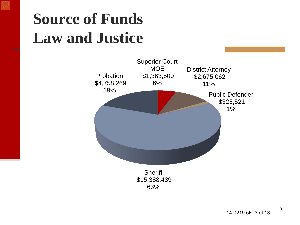

#### **Source of Funds Law and Justice**

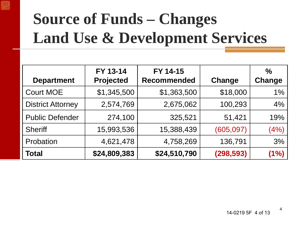

### **Source of Funds – Changes Land Use & Development Services**

| <b>Department</b>        | FY 13-14<br><b>Projected</b> | FY 14-15<br><b>Recommended</b> | Change     | $\frac{0}{0}$<br>Change |
|--------------------------|------------------------------|--------------------------------|------------|-------------------------|
| <b>Court MOE</b>         | \$1,345,500                  | \$1,363,500                    | \$18,000   | 1%                      |
| <b>District Attorney</b> | 2,574,769                    | 2,675,062                      | 100,293    | 4%                      |
| <b>Public Defender</b>   | 274,100                      | 325,521                        | 51,421     | 19%                     |
| <b>Sheriff</b>           | 15,993,536                   | 15,388,439                     | (605, 097) | (4%)                    |
| Probation                | 4,621,478                    | 4,758,269                      | 136,791    | 3%                      |
| <b>Total</b>             | \$24,809,383                 | \$24,510,790                   | (298, 593) | (1%)                    |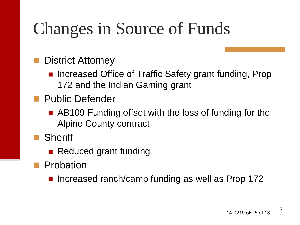### Changes in Source of Funds

#### District Attorney

- Increased Office of Traffic Safety grant funding, Prop 172 and the Indian Gaming grant
- **Public Defender** 
	- **AB109 Funding offset with the loss of funding for the** Alpine County contract
- **Sheriff** 
	- Reduced grant funding
- **Probation** 
	- Increased ranch/camp funding as well as Prop 172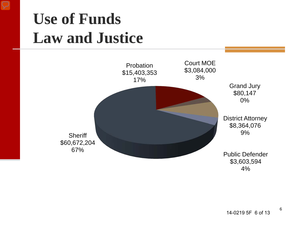

#### **Use of Funds Law and Justice**



6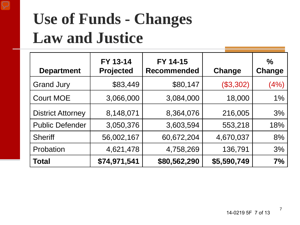

#### **Use of Funds - Changes Law and Justice**

| <b>Department</b>        | FY 13-14<br><b>Projected</b> | FY 14-15<br><b>Recommended</b> | Change      | $\frac{0}{0}$<br>Change |
|--------------------------|------------------------------|--------------------------------|-------------|-------------------------|
| <b>Grand Jury</b>        | \$83,449                     | \$80,147                       | (\$3,302)   | (4%)                    |
| <b>Court MOE</b>         | 3,066,000                    | 3,084,000                      | 18,000      | 1%                      |
| <b>District Attorney</b> | 8,148,071                    | 8,364,076                      | 216,005     | 3%                      |
| <b>Public Defender</b>   | 3,050,376                    | 3,603,594                      | 553,218     | 18%                     |
| <b>Sheriff</b>           | 56,002,167                   | 60,672,204                     | 4,670,037   | 8%                      |
| Probation                | 4,621,478                    | 4,758,269                      | 136,791     | 3%                      |
| <b>Total</b>             | \$74,971,541                 | \$80,562,290                   | \$5,590,749 | 7%                      |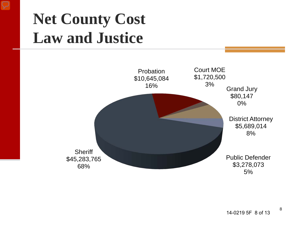#### $\equiv$

#### **Net County Cost Law and Justice**



8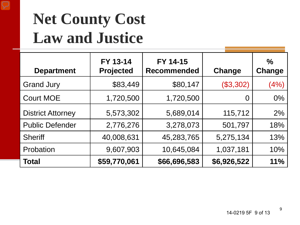

#### **Net County Cost Law and Justice**

| <b>Department</b>        | FY 13-14<br><b>Projected</b> | FY 14-15<br><b>Recommended</b> | Change      | $\frac{0}{0}$<br>Change |
|--------------------------|------------------------------|--------------------------------|-------------|-------------------------|
| <b>Grand Jury</b>        | \$83,449                     | \$80,147                       | (\$3,302)   | (4% )                   |
| <b>Court MOE</b>         | 1,720,500                    | 1,720,500                      | $\Omega$    | $0\%$                   |
| <b>District Attorney</b> | 5,573,302                    | 5,689,014                      | 115,712     | $2\%$                   |
| <b>Public Defender</b>   | 2,776,276                    | 3,278,073                      | 501,797     | 18%                     |
| <b>Sheriff</b>           | 40,008,631                   | 45,283,765                     | 5,275,134   | 13%                     |
| Probation                | 9,607,903                    | 10,645,084                     | 1,037,181   | 10%                     |
| Total                    | \$59,770,061                 | \$66,696,583                   | \$6,926,522 | 11%                     |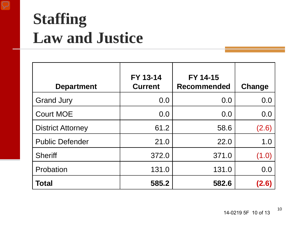

#### **Staffing Law and Justice**

| <b>Department</b>        | FY 13-14<br><b>Current</b> | FY 14-15<br><b>Recommended</b> | Change |
|--------------------------|----------------------------|--------------------------------|--------|
| <b>Grand Jury</b>        | 0.0                        | 0.0                            | 0.0    |
| <b>Court MOE</b>         | 0.0                        | 0.0                            | 0.0    |
| <b>District Attorney</b> | 61.2                       | 58.6                           | (2.6)  |
| <b>Public Defender</b>   | 21.0                       | 22.0                           | 1.0    |
| <b>Sheriff</b>           | 372.0                      | 371.0                          | (1.0)  |
| Probation                | 131.0                      | 131.0                          | 0.0    |
| Total                    | 585.2                      | 582.6                          | (2.6)  |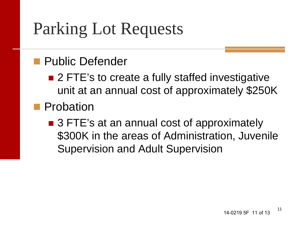### Parking Lot Requests

#### **Public Defender**

■ 2 FTE's to create a fully staffed investigative unit at an annual cost of approximately \$250K

#### **Probation**

■ 3 FTE's at an annual cost of approximately \$300K in the areas of Administration, Juvenile Supervision and Adult Supervision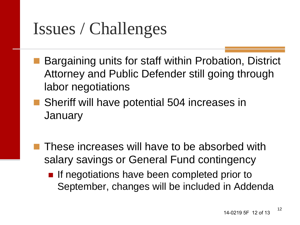### Issues / Challenges

- Bargaining units for staff within Probation, District Attorney and Public Defender still going through labor negotiations
- Sheriff will have potential 504 increases in **January** 
	- These increases will have to be absorbed with salary savings or General Fund contingency
		- **If negotiations have been completed prior to** September, changes will be included in Addenda